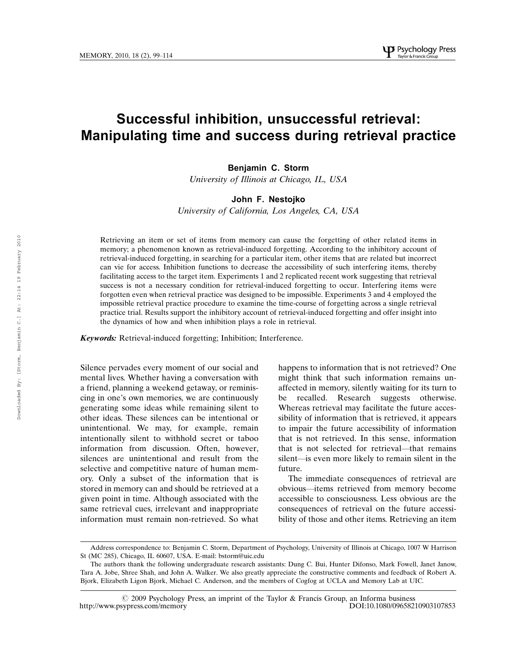# Successful inhibition, unsuccessful retrieval: Manipulating time and success during retrieval practice

Benjamin C. Storm

University of Illinois at Chicago, IL, USA

## John F. Nestojko

University of California, Los Angeles, CA, USA

Retrieving an item or set of items from memory can cause the forgetting of other related items in memory; a phenomenon known as retrieval-induced forgetting. According to the inhibitory account of retrieval-induced forgetting, in searching for a particular item, other items that are related but incorrect can vie for access. Inhibition functions to decrease the accessibility of such interfering items, thereby facilitating access to the target item. Experiments 1 and 2 replicated recent work suggesting that retrieval success is not a necessary condition for retrieval-induced forgetting to occur. Interfering items were forgotten even when retrieval practice was designed to be impossible. Experiments 3 and 4 employed the impossible retrieval practice procedure to examine the time-course of forgetting across a single retrieval practice trial. Results support the inhibitory account of retrieval-induced forgetting and offer insight into the dynamics of how and when inhibition plays a role in retrieval.

Keywords: Retrieval-induced forgetting; Inhibition; Interference.

Silence pervades every moment of our social and mental lives. Whether having a conversation with a friend, planning a weekend getaway, or reminiscing in one's own memories, we are continuously generating some ideas while remaining silent to other ideas. These silences can be intentional or unintentional. We may, for example, remain intentionally silent to withhold secret or taboo information from discussion. Often, however, silences are unintentional and result from the selective and competitive nature of human memory. Only a subset of the information that is stored in memory can and should be retrieved at a given point in time. Although associated with the same retrieval cues, irrelevant and inappropriate information must remain non-retrieved. So what

happens to information that is not retrieved? One might think that such information remains unaffected in memory, silently waiting for its turn to be recalled. Research suggests otherwise. Whereas retrieval may facilitate the future accessibility of information that is retrieved, it appears to impair the future accessibility of information that is not retrieved. In this sense, information that is not selected for retrieval—that remains silent—is even more likely to remain silent in the future.

The immediate consequences of retrieval are obvious\*items retrieved from memory become accessible to consciousness. Less obvious are the consequences of retrieval on the future accessibility of those and other items. Retrieving an item

Address correspondence to: Benjamin C. Storm, Department of Psychology, University of Illinois at Chicago, 1007 W Harrison St (MC 285), Chicago, IL 60607, USA. E-mail: bstorm@uic.edu

The authors thank the following undergraduate research assistants: Dung C. Bui, Hunter Difonso, Mark Fowell, Janet Janow, Tara A. Jobe, Shree Shah, and John A. Walker. We also greatly appreciate the constructive comments and feedback of Robert A. Bjork, Elizabeth Ligon Bjork, Michael C. Anderson, and the members of Cogfog at UCLA and Memory Lab at UIC.

 $\degree$  2009 Psychology Press, an imprint of the Taylor & Francis Group, an Informa business<br>sypress.com/memory DOI:10.1080/09658210903107853 http://www.psypress.com/memory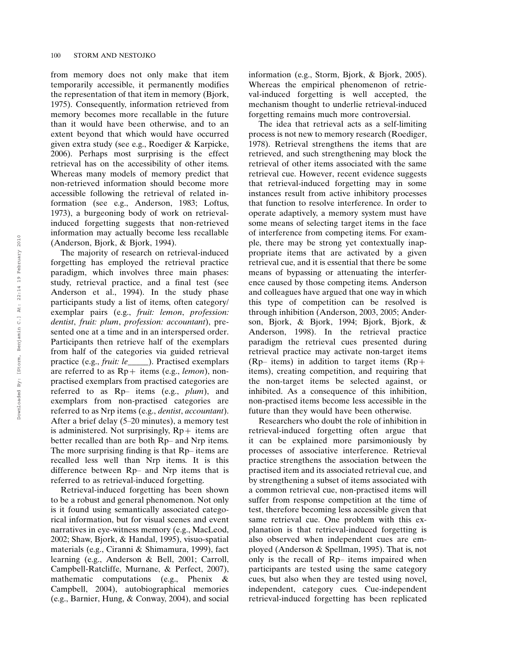from memory does not only make that item temporarily accessible, it permanently modifies the representation of that item in memory (Bjork, 1975). Consequently, information retrieved from memory becomes more recallable in the future than it would have been otherwise, and to an extent beyond that which would have occurred given extra study (see e.g., Roediger & Karpicke, 2006). Perhaps most surprising is the effect retrieval has on the accessibility of other items. Whereas many models of memory predict that non-retrieved information should become more accessible following the retrieval of related information (see e.g., Anderson, 1983; Loftus, 1973), a burgeoning body of work on retrievalinduced forgetting suggests that non-retrieved information may actually become less recallable (Anderson, Bjork, & Bjork, 1994).

The majority of research on retrieval-induced forgetting has employed the retrieval practice paradigm, which involves three main phases: study, retrieval practice, and a final test (see Anderson et al., 1994). In the study phase participants study a list of items, often category/ exemplar pairs (e.g., fruit: lemon, profession: dentist, fruit: plum, profession: accountant), presented one at a time and in an interspersed order. Participants then retrieve half of the exemplars from half of the categories via guided retrieval practice (e.g., fruit: le\_\_\_\_\_). Practised exemplars are referred to as  $Rp+$  items (e.g., *lemon*), nonpractised exemplars from practised categories are referred to as Rp- items (e.g., plum), and exemplars from non-practised categories are referred to as Nrp items (e.g., dentist, accountant). After a brief delay (5-20 minutes), a memory test is administered. Not surprisingly,  $Rp+$  items are better recalled than are both Rp– and Nrp items. The more surprising finding is that Rp– items are recalled less well than Nrp items. It is this difference between Rp- and Nrp items that is referred to as retrieval-induced forgetting.

Retrieval-induced forgetting has been shown to be a robust and general phenomenon. Not only is it found using semantically associated categorical information, but for visual scenes and event narratives in eye-witness memory (e.g., MacLeod, 2002; Shaw, Bjork, & Handal, 1995), visuo-spatial materials (e.g., Ciranni & Shimamura, 1999), fact learning (e.g., Anderson & Bell, 2001; Carroll, Campbell-Ratcliffe, Murnane, & Perfect, 2007), mathematic computations (e.g., Phenix & Campbell, 2004), autobiographical memories (e.g., Barnier, Hung, & Conway, 2004), and social information (e.g., Storm, Bjork, & Bjork, 2005). Whereas the empirical phenomenon of retrieval-induced forgetting is well accepted, the mechanism thought to underlie retrieval-induced forgetting remains much more controversial.

The idea that retrieval acts as a self-limiting process is not new to memory research (Roediger, 1978). Retrieval strengthens the items that are retrieved, and such strengthening may block the retrieval of other items associated with the same retrieval cue. However, recent evidence suggests that retrieval-induced forgetting may in some instances result from active inhibitory processes that function to resolve interference. In order to operate adaptively, a memory system must have some means of selecting target items in the face of interference from competing items. For example, there may be strong yet contextually inappropriate items that are activated by a given retrieval cue, and it is essential that there be some means of bypassing or attenuating the interference caused by those competing items. Anderson and colleagues have argued that one way in which this type of competition can be resolved is through inhibition (Anderson, 2003, 2005; Anderson, Bjork, & Bjork, 1994; Bjork, Bjork, & Anderson, 1998). In the retrieval practice paradigm the retrieval cues presented during retrieval practice may activate non-target items  $(Rp-$  items) in addition to target items  $(Rp+$ items), creating competition, and requiring that the non-target items be selected against, or inhibited. As a consequence of this inhibition, non-practised items become less accessible in the future than they would have been otherwise.

Researchers who doubt the role of inhibition in retrieval-induced forgetting often argue that it can be explained more parsimoniously by processes of associative interference. Retrieval practice strengthens the association between the practised item and its associated retrieval cue, and by strengthening a subset of items associated with a common retrieval cue, non-practised items will suffer from response competition at the time of test, therefore becoming less accessible given that same retrieval cue. One problem with this explanation is that retrieval-induced forgetting is also observed when independent cues are employed (Anderson & Spellman, 1995). That is, not only is the recall of Rp- items impaired when participants are tested using the same category cues, but also when they are tested using novel, independent, category cues. Cue-independent retrieval-induced forgetting has been replicated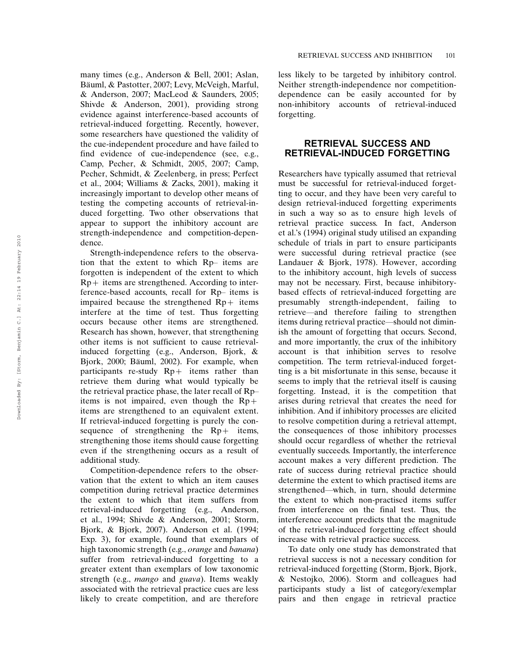many times (e.g., Anderson & Bell, 2001; Aslan, Bäuml, & Pastotter, 2007; Levy, McVeigh, Marful, & Anderson, 2007; MacLeod & Saunders, 2005; Shivde & Anderson, 2001), providing strong evidence against interference-based accounts of retrieval-induced forgetting. Recently, however, some researchers have questioned the validity of the cue-independent procedure and have failed to find evidence of cue-independence (see, e.g., Camp, Pecher, & Schmidt, 2005, 2007; Camp, Pecher, Schmidt, & Zeelenberg, in press; Perfect et al., 2004; Williams & Zacks, 2001), making it increasingly important to develop other means of testing the competing accounts of retrieval-induced forgetting. Two other observations that appear to support the inhibitory account are strength-independence and competition-dependence.

Strength-independence refers to the observation that the extent to which Rp- items are forgotten is independent of the extent to which  $Rp+$  items are strengthened. According to interference-based accounts, recall for Rp- items is impaired because the strengthened  $Rp+$  items interfere at the time of test. Thus forgetting occurs because other items are strengthened. Research has shown, however, that strengthening other items is not sufficient to cause retrievalinduced forgetting (e.g., Anderson, Bjork, & Bjork, 2000; Bäuml, 2002). For example, when participants re-study  $Rp+$  items rather than retrieve them during what would typically be the retrieval practice phase, the later recall of Rp items is not impaired, even though the Rp items are strengthened to an equivalent extent. If retrieval-induced forgetting is purely the consequence of strengthening the  $Rp +$  items, strengthening those items should cause forgetting even if the strengthening occurs as a result of additional study.

Competition-dependence refers to the observation that the extent to which an item causes competition during retrieval practice determines the extent to which that item suffers from retrieval-induced forgetting (e.g., Anderson, et al., 1994; Shivde & Anderson, 2001; Storm, Bjork, & Bjork, 2007). Anderson et al. (1994; Exp. 3), for example, found that exemplars of high taxonomic strength (e.g., *orange* and *banana*) suffer from retrieval-induced forgetting to a greater extent than exemplars of low taxonomic strength (e.g., mango and guava). Items weakly associated with the retrieval practice cues are less likely to create competition, and are therefore

less likely to be targeted by inhibitory control. Neither strength-independence nor competitiondependence can be easily accounted for by non-inhibitory accounts of retrieval-induced forgetting.

# RETRIEVAL SUCCESS AND RETRIEVAL-INDUCED FORGETTING

Researchers have typically assumed that retrieval must be successful for retrieval-induced forgetting to occur, and they have been very careful to design retrieval-induced forgetting experiments in such a way so as to ensure high levels of retrieval practice success. In fact, Anderson et al.'s (1994) original study utilised an expanding schedule of trials in part to ensure participants were successful during retrieval practice (see Landauer & Bjork, 1978). However, according to the inhibitory account, high levels of success may not be necessary. First, because inhibitorybased effects of retrieval-induced forgetting are presumably strength-independent, failing to retrieve—and therefore failing to strengthen items during retrieval practice—should not diminish the amount of forgetting that occurs. Second, and more importantly, the crux of the inhibitory account is that inhibition serves to resolve competition. The term retrieval-induced forgetting is a bit misfortunate in this sense, because it seems to imply that the retrieval itself is causing forgetting. Instead, it is the competition that arises during retrieval that creates the need for inhibition. And if inhibitory processes are elicited to resolve competition during a retrieval attempt, the consequences of those inhibitory processes should occur regardless of whether the retrieval eventually succeeds. Importantly, the interference account makes a very different prediction. The rate of success during retrieval practice should determine the extent to which practised items are strengthened—which, in turn, should determine the extent to which non-practised items suffer from interference on the final test. Thus, the interference account predicts that the magnitude of the retrieval-induced forgetting effect should increase with retrieval practice success.

To date only one study has demonstrated that retrieval success is not a necessary condition for retrieval-induced forgetting (Storm, Bjork, Bjork, & Nestojko, 2006). Storm and colleagues had participants study a list of category/exemplar pairs and then engage in retrieval practice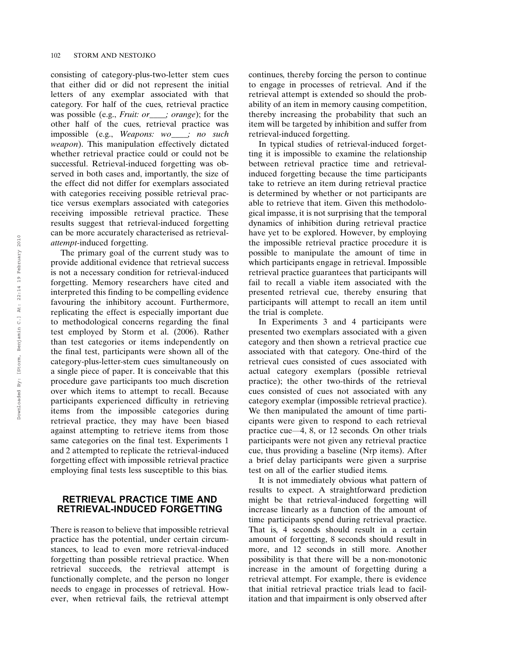consisting of category-plus-two-letter stem cues that either did or did not represent the initial letters of any exemplar associated with that category. For half of the cues, retrieval practice was possible (e.g., *Fruit: or* ; *orange*); for the other half of the cues, retrieval practice was impossible (e.g., Weapons: wo\_\_\_\_; no such weapon). This manipulation effectively dictated whether retrieval practice could or could not be successful. Retrieval-induced forgetting was observed in both cases and, importantly, the size of the effect did not differ for exemplars associated with categories receiving possible retrieval practice versus exemplars associated with categories receiving impossible retrieval practice. These results suggest that retrieval-induced forgetting can be more accurately characterised as retrievalattempt-induced forgetting.

The primary goal of the current study was to provide additional evidence that retrieval success is not a necessary condition for retrieval-induced forgetting. Memory researchers have cited and interpreted this finding to be compelling evidence favouring the inhibitory account. Furthermore, replicating the effect is especially important due to methodological concerns regarding the final test employed by Storm et al. (2006). Rather than test categories or items independently on the final test, participants were shown all of the category-plus-letter-stem cues simultaneously on a single piece of paper. It is conceivable that this procedure gave participants too much discretion over which items to attempt to recall. Because participants experienced difficulty in retrieving items from the impossible categories during retrieval practice, they may have been biased against attempting to retrieve items from those same categories on the final test. Experiments 1 and 2 attempted to replicate the retrieval-induced forgetting effect with impossible retrieval practice employing final tests less susceptible to this bias.

# RETRIEVAL PRACTICE TIME AND RETRIEVAL-INDUCED FORGETTING

There is reason to believe that impossible retrieval practice has the potential, under certain circumstances, to lead to even more retrieval-induced forgetting than possible retrieval practice. When retrieval succeeds, the retrieval attempt is functionally complete, and the person no longer needs to engage in processes of retrieval. However, when retrieval fails, the retrieval attempt continues, thereby forcing the person to continue to engage in processes of retrieval. And if the retrieval attempt is extended so should the probability of an item in memory causing competition, thereby increasing the probability that such an item will be targeted by inhibition and suffer from retrieval-induced forgetting.

In typical studies of retrieval-induced forgetting it is impossible to examine the relationship between retrieval practice time and retrievalinduced forgetting because the time participants take to retrieve an item during retrieval practice is determined by whether or not participants are able to retrieve that item. Given this methodological impasse, it is not surprising that the temporal dynamics of inhibition during retrieval practice have yet to be explored. However, by employing the impossible retrieval practice procedure it is possible to manipulate the amount of time in which participants engage in retrieval. Impossible retrieval practice guarantees that participants will fail to recall a viable item associated with the presented retrieval cue, thereby ensuring that participants will attempt to recall an item until the trial is complete.

In Experiments 3 and 4 participants were presented two exemplars associated with a given category and then shown a retrieval practice cue associated with that category. One-third of the retrieval cues consisted of cues associated with actual category exemplars (possible retrieval practice); the other two-thirds of the retrieval cues consisted of cues not associated with any category exemplar (impossible retrieval practice). We then manipulated the amount of time participants were given to respond to each retrieval practice cue $-4$ , 8, or 12 seconds. On other trials participants were not given any retrieval practice cue, thus providing a baseline (Nrp items). After a brief delay participants were given a surprise test on all of the earlier studied items.

It is not immediately obvious what pattern of results to expect. A straightforward prediction might be that retrieval-induced forgetting will increase linearly as a function of the amount of time participants spend during retrieval practice. That is, 4 seconds should result in a certain amount of forgetting, 8 seconds should result in more, and 12 seconds in still more. Another possibility is that there will be a non-monotonic increase in the amount of forgetting during a retrieval attempt. For example, there is evidence that initial retrieval practice trials lead to facilitation and that impairment is only observed after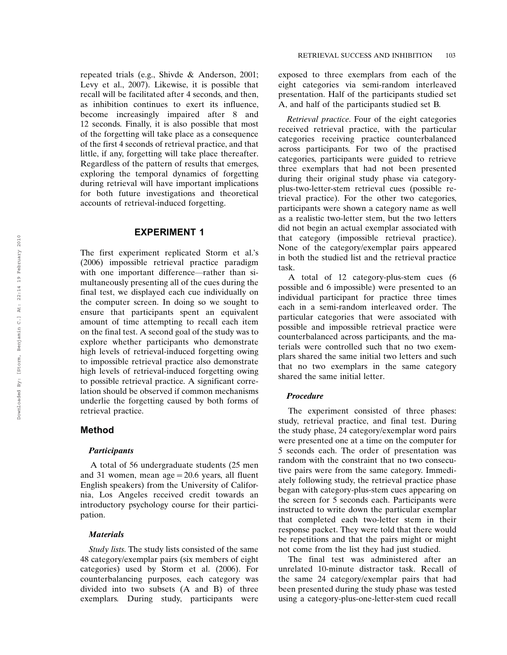repeated trials (e.g., Shivde & Anderson, 2001; Levy et al., 2007). Likewise, it is possible that recall will be facilitated after 4 seconds, and then, as inhibition continues to exert its influence, become increasingly impaired after 8 and 12 seconds. Finally, it is also possible that most of the forgetting will take place as a consequence of the first 4 seconds of retrieval practice, and that little, if any, forgetting will take place thereafter. Regardless of the pattern of results that emerges, exploring the temporal dynamics of forgetting during retrieval will have important implications for both future investigations and theoretical accounts of retrieval-induced forgetting.

# EXPERIMENT 1

The first experiment replicated Storm et al.'s (2006) impossible retrieval practice paradigm with one important difference—rather than simultaneously presenting all of the cues during the final test, we displayed each cue individually on the computer screen. In doing so we sought to ensure that participants spent an equivalent amount of time attempting to recall each item on the final test. A second goal of the study was to explore whether participants who demonstrate high levels of retrieval-induced forgetting owing to impossible retrieval practice also demonstrate high levels of retrieval-induced forgetting owing to possible retrieval practice. A significant correlation should be observed if common mechanisms underlie the forgetting caused by both forms of retrieval practice.

## Method

#### **Participants**

A total of 56 undergraduate students (25 men and 31 women, mean  $age=20.6$  years, all fluent English speakers) from the University of California, Los Angeles received credit towards an introductory psychology course for their participation.

#### **Materials**

Study lists. The study lists consisted of the same 48 category/exemplar pairs (six members of eight categories) used by Storm et al. (2006). For counterbalancing purposes, each category was divided into two subsets (A and B) of three exemplars. During study, participants were

exposed to three exemplars from each of the eight categories via semi-random interleaved presentation. Half of the participants studied set A, and half of the participants studied set B.

Retrieval practice. Four of the eight categories received retrieval practice, with the particular categories receiving practice counterbalanced across participants. For two of the practised categories, participants were guided to retrieve three exemplars that had not been presented during their original study phase via categoryplus-two-letter-stem retrieval cues (possible retrieval practice). For the other two categories, participants were shown a category name as well as a realistic two-letter stem, but the two letters did not begin an actual exemplar associated with that category (impossible retrieval practice). None of the category/exemplar pairs appeared in both the studied list and the retrieval practice task.

A total of 12 category-plus-stem cues (6 possible and 6 impossible) were presented to an individual participant for practice three times each in a semi-random interleaved order. The particular categories that were associated with possible and impossible retrieval practice were counterbalanced across participants, and the materials were controlled such that no two exemplars shared the same initial two letters and such that no two exemplars in the same category shared the same initial letter.

#### Procedure

The experiment consisted of three phases: study, retrieval practice, and final test. During the study phase, 24 category/exemplar word pairs were presented one at a time on the computer for 5 seconds each. The order of presentation was random with the constraint that no two consecutive pairs were from the same category. Immediately following study, the retrieval practice phase began with category-plus-stem cues appearing on the screen for 5 seconds each. Participants were instructed to write down the particular exemplar that completed each two-letter stem in their response packet. They were told that there would be repetitions and that the pairs might or might not come from the list they had just studied.

The final test was administered after an unrelated 10-minute distractor task. Recall of the same 24 category/exemplar pairs that had been presented during the study phase was tested using a category-plus-one-letter-stem cued recall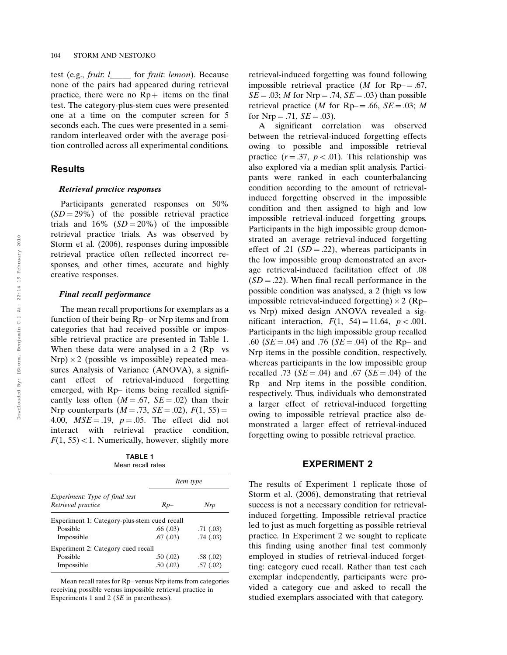test (e.g., fruit: l\_\_\_\_\_ for fruit: lemon). Because none of the pairs had appeared during retrieval practice, there were no  $Rp+$  items on the final test. The category-plus-stem cues were presented one at a time on the computer screen for 5 seconds each. The cues were presented in a semirandom interleaved order with the average position controlled across all experimental conditions.

# **Results**

## Retrieval practice responses

Participants generated responses on 50%  $(SD=29\%)$  of the possible retrieval practice trials and 16%  $(SD = 20\%)$  of the impossible retrieval practice trials. As was observed by Storm et al. (2006), responses during impossible retrieval practice often reflected incorrect responses, and other times, accurate and highly creative responses.

#### Final recall performance

The mean recall proportions for exemplars as a function of their being Rp- or Nrp items and from categories that had received possible or impossible retrieval practice are presented in Table 1. When these data were analysed in a 2 (Rp– vs  $Nrp) \times 2$  (possible vs impossible) repeated measures Analysis of Variance (ANOVA), a significant effect of retrieval-induced forgetting emerged, with Rp- items being recalled significantly less often  $(M=.67, SE=.02)$  than their Nrp counterparts  $(M = .73, SE = .02), F(1, 55) =$ 4.00,  $MSE = .19$ ,  $p = .05$ . The effect did not interact with retrieval practice condition,  $F(1, 55)$  < 1. Numerically, however, slightly more

TABLE 1 Mean recall rates

|                                                             | Item type |           |
|-------------------------------------------------------------|-----------|-----------|
| <i>Experiment: Type of final test</i><br>Retrieval practice | $Rp-$     | Nrp       |
| Experiment 1: Category-plus-stem cued recall                |           |           |
| Possible                                                    | .66(.03)  | .71(0.03) |
| Impossible                                                  | .67(0.03) | .74(.03)  |
| Experiment 2: Category cued recall                          |           |           |
| Possible                                                    | .50(.02)  | .58(.02)  |
| Impossible                                                  | .50(.02)  | .57(.02)  |

Mean recall rates for Rp- versus Nrp items from categories receiving possible versus impossible retrieval practice in Experiments 1 and 2 (SE in parentheses).

retrieval-induced forgetting was found following impossible retrieval practice (*M* for  $Rp = .67$ ,  $SE = .03$ ; *M* for Nrp = .74,  $SE = .03$ ) than possible retrieval practice (*M* for Rp-=.66, *SE* = .03; *M* for Nrp = .71,  $SE = .03$ ).

A significant correlation was observed between the retrieval-induced forgetting effects owing to possible and impossible retrieval practice  $(r=.37, p<.01)$ . This relationship was also explored via a median split analysis. Participants were ranked in each counterbalancing condition according to the amount of retrievalinduced forgetting observed in the impossible condition and then assigned to high and low impossible retrieval-induced forgetting groups. Participants in the high impossible group demonstrated an average retrieval-induced forgetting effect of .21 ( $SD = .22$ ), whereas participants in the low impossible group demonstrated an average retrieval-induced facilitation effect of .08  $(SD = .22)$ . When final recall performance in the possible condition was analysed, a 2 (high vs low impossible retrieval-induced forgetting)  $\times$  2 (Rpvs Nrp) mixed design ANOVA revealed a significant interaction,  $F(1, 54) = 11.64$ ,  $p < .001$ . Participants in the high impossible group recalled .60 ( $SE = .04$ ) and .76 ( $SE = .04$ ) of the Rp- and Nrp items in the possible condition, respectively, whereas participants in the low impossible group recalled .73 ( $SE = .04$ ) and .67 ( $SE = .04$ ) of the Rp- and Nrp items in the possible condition, respectively. Thus, individuals who demonstrated a larger effect of retrieval-induced forgetting owing to impossible retrieval practice also demonstrated a larger effect of retrieval-induced forgetting owing to possible retrieval practice.

## EXPERIMENT 2

The results of Experiment 1 replicate those of Storm et al. (2006), demonstrating that retrieval success is not a necessary condition for retrievalinduced forgetting. Impossible retrieval practice led to just as much forgetting as possible retrieval practice. In Experiment 2 we sought to replicate this finding using another final test commonly employed in studies of retrieval-induced forgetting: category cued recall. Rather than test each exemplar independently, participants were provided a category cue and asked to recall the studied exemplars associated with that category.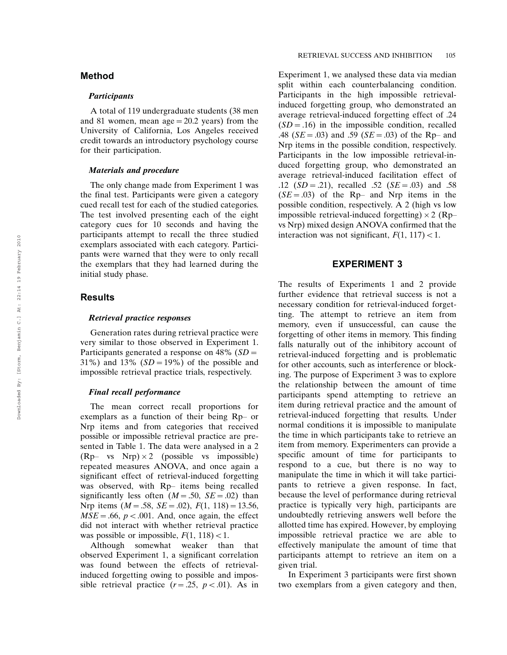#### **Participants**

A total of 119 undergraduate students (38 men and 81 women, mean  $age = 20.2$  years) from the University of California, Los Angeles received credit towards an introductory psychology course for their participation.

#### Materials and procedure

The only change made from Experiment 1 was the final test. Participants were given a category cued recall test for each of the studied categories. The test involved presenting each of the eight category cues for 10 seconds and having the participants attempt to recall the three studied exemplars associated with each category. Participants were warned that they were to only recall the exemplars that they had learned during the initial study phase.

## Results

#### Retrieval practice responses

Generation rates during retrieval practice were very similar to those observed in Experiment 1. Participants generated a response on  $48\%$  (SD = 31%) and 13%  $(SD = 19\%)$  of the possible and impossible retrieval practice trials, respectively.

#### Final recall performance

The mean correct recall proportions for exemplars as a function of their being Rp- or Nrp items and from categories that received possible or impossible retrieval practice are presented in Table 1. The data were analysed in a 2  $(Rp- vs Nrp) \times 2$  (possible vs impossible) repeated measures ANOVA, and once again a significant effect of retrieval-induced forgetting was observed, with Rp- items being recalled significantly less often  $(M=.50, SE=.02)$  than Nrp items  $(M = .58, SE = .02)$ ,  $F(1, 118) = 13.56$ ,  $MSE = .66$ ,  $p < .001$ . And, once again, the effect did not interact with whether retrieval practice was possible or impossible,  $F(1, 118) < 1$ .

Although somewhat weaker than that observed Experiment 1, a significant correlation was found between the effects of retrievalinduced forgetting owing to possible and impossible retrieval practice  $(r=.25, p<.01)$ . As in Experiment 1, we analysed these data via median split within each counterbalancing condition. Participants in the high impossible retrievalinduced forgetting group, who demonstrated an average retrieval-induced forgetting effect of .24  $(SD = .16)$  in the impossible condition, recalled .48 ( $SE = .03$ ) and .59 ( $SE = .03$ ) of the Rp- and Nrp items in the possible condition, respectively. Participants in the low impossible retrieval-induced forgetting group, who demonstrated an average retrieval-induced facilitation effect of .12  $(SD = .21)$ , recalled .52  $(SE = .03)$  and .58  $(SE = .03)$  of the Rp- and Nrp items in the possible condition, respectively. A 2 (high vs low impossible retrieval-induced forgetting)  $\times$  2 (Rpvs Nrp) mixed design ANOVA confirmed that the interaction was not significant,  $F(1, 117) < 1$ .

# EXPERIMENT 3

The results of Experiments 1 and 2 provide further evidence that retrieval success is not a necessary condition for retrieval-induced forgetting. The attempt to retrieve an item from memory, even if unsuccessful, can cause the forgetting of other items in memory. This finding falls naturally out of the inhibitory account of retrieval-induced forgetting and is problematic for other accounts, such as interference or blocking. The purpose of Experiment 3 was to explore the relationship between the amount of time participants spend attempting to retrieve an item during retrieval practice and the amount of retrieval-induced forgetting that results. Under normal conditions it is impossible to manipulate the time in which participants take to retrieve an item from memory. Experimenters can provide a specific amount of time for participants to respond to a cue, but there is no way to manipulate the time in which it will take participants to retrieve a given response. In fact, because the level of performance during retrieval practice is typically very high, participants are undoubtedly retrieving answers well before the allotted time has expired. However, by employing impossible retrieval practice we are able to effectively manipulate the amount of time that participants attempt to retrieve an item on a given trial.

In Experiment 3 participants were first shown two exemplars from a given category and then,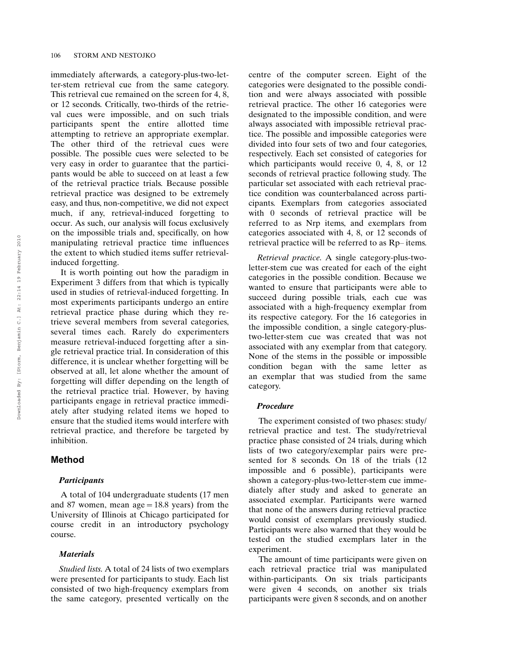immediately afterwards, a category-plus-two-letter-stem retrieval cue from the same category. This retrieval cue remained on the screen for 4, 8, or 12 seconds. Critically, two-thirds of the retrieval cues were impossible, and on such trials participants spent the entire allotted time attempting to retrieve an appropriate exemplar. The other third of the retrieval cues were possible. The possible cues were selected to be very easy in order to guarantee that the participants would be able to succeed on at least a few of the retrieval practice trials. Because possible retrieval practice was designed to be extremely easy, and thus, non-competitive, we did not expect much, if any, retrieval-induced forgetting to occur. As such, our analysis will focus exclusively on the impossible trials and, specifically, on how manipulating retrieval practice time influences the extent to which studied items suffer retrievalinduced forgetting.

It is worth pointing out how the paradigm in Experiment 3 differs from that which is typically used in studies of retrieval-induced forgetting. In most experiments participants undergo an entire retrieval practice phase during which they retrieve several members from several categories, several times each. Rarely do experimenters measure retrieval-induced forgetting after a single retrieval practice trial. In consideration of this difference, it is unclear whether forgetting will be observed at all, let alone whether the amount of forgetting will differ depending on the length of the retrieval practice trial. However, by having participants engage in retrieval practice immediately after studying related items we hoped to ensure that the studied items would interfere with retrieval practice, and therefore be targeted by inhibition.

## Method

#### Participants

A total of 104 undergraduate students (17 men and 87 women, mean  $age = 18.8$  years) from the University of Illinois at Chicago participated for course credit in an introductory psychology course.

#### Materials

Studied lists. A total of 24 lists of two exemplars were presented for participants to study. Each list consisted of two high-frequency exemplars from the same category, presented vertically on the centre of the computer screen. Eight of the categories were designated to the possible condition and were always associated with possible retrieval practice. The other 16 categories were designated to the impossible condition, and were always associated with impossible retrieval practice. The possible and impossible categories were divided into four sets of two and four categories, respectively. Each set consisted of categories for which participants would receive 0, 4, 8, or 12 seconds of retrieval practice following study. The particular set associated with each retrieval practice condition was counterbalanced across participants. Exemplars from categories associated with 0 seconds of retrieval practice will be referred to as Nrp items, and exemplars from categories associated with 4, 8, or 12 seconds of retrieval practice will be referred to as Rp- items.

Retrieval practice. A single category-plus-twoletter-stem cue was created for each of the eight categories in the possible condition. Because we wanted to ensure that participants were able to succeed during possible trials, each cue was associated with a high-frequency exemplar from its respective category. For the 16 categories in the impossible condition, a single category-plustwo-letter-stem cue was created that was not associated with any exemplar from that category. None of the stems in the possible or impossible condition began with the same letter as an exemplar that was studied from the same category.

#### Procedure

The experiment consisted of two phases: study/ retrieval practice and test. The study/retrieval practice phase consisted of 24 trials, during which lists of two category/exemplar pairs were presented for 8 seconds. On 18 of the trials (12 impossible and 6 possible), participants were shown a category-plus-two-letter-stem cue immediately after study and asked to generate an associated exemplar. Participants were warned that none of the answers during retrieval practice would consist of exemplars previously studied. Participants were also warned that they would be tested on the studied exemplars later in the experiment.

The amount of time participants were given on each retrieval practice trial was manipulated within-participants. On six trials participants were given 4 seconds, on another six trials participants were given 8 seconds, and on another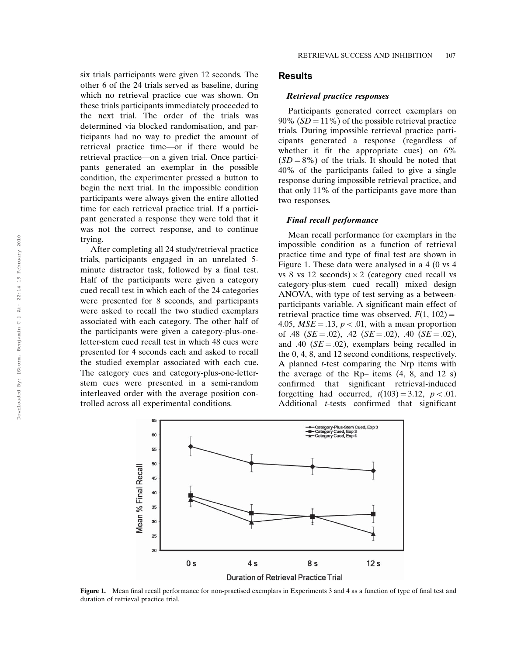six trials participants were given 12 seconds. The other 6 of the 24 trials served as baseline, during which no retrieval practice cue was shown. On these trials participants immediately proceeded to the next trial. The order of the trials was determined via blocked randomisation, and participants had no way to predict the amount of retrieval practice time-or if there would be retrieval practice—on a given trial. Once participants generated an exemplar in the possible condition, the experimenter pressed a button to begin the next trial. In the impossible condition participants were always given the entire allotted time for each retrieval practice trial. If a participant generated a response they were told that it was not the correct response, and to continue trying.

After completing all 24 study/retrieval practice trials, participants engaged in an unrelated 5 minute distractor task, followed by a final test. Half of the participants were given a category cued recall test in which each of the 24 categories were presented for 8 seconds, and participants were asked to recall the two studied exemplars associated with each category. The other half of the participants were given a category-plus-oneletter-stem cued recall test in which 48 cues were presented for 4 seconds each and asked to recall the studied exemplar associated with each cue. The category cues and category-plus-one-letterstem cues were presented in a semi-random interleaved order with the average position controlled across all experimental conditions.

## Results

#### Retrieval practice responses

Participants generated correct exemplars on 90% ( $SD = 11\%$ ) of the possible retrieval practice trials. During impossible retrieval practice participants generated a response (regardless of whether it fit the appropriate cues) on  $6\%$  $(SD = 8\%)$  of the trials. It should be noted that 40% of the participants failed to give a single response during impossible retrieval practice, and that only 11% of the participants gave more than two responses.

#### Final recall performance

Mean recall performance for exemplars in the impossible condition as a function of retrieval practice time and type of final test are shown in Figure 1. These data were analysed in a 4 (0 vs 4 vs 8 vs 12 seconds)  $\times$  2 (category cued recall vs category-plus-stem cued recall) mixed design ANOVA, with type of test serving as a betweenparticipants variable. A significant main effect of retrieval practice time was observed,  $F(1, 102) =$ 4.05,  $MSE = .13$ ,  $p < .01$ , with a mean proportion of .48  $(SE=.02)$ , .42  $(SE=.02)$ , .40  $(SE=.02)$ , and .40 ( $SE = .02$ ), exemplars being recalled in the 0, 4, 8, and 12 second conditions, respectively. A planned t-test comparing the Nrp items with the average of the  $Rp-$  items  $(4, 8, and 12 s)$ confirmed that significant retrieval-induced forgetting had occurred,  $t(103) = 3.12$ ,  $p < .01$ . Additional t-tests confirmed that significant



Figure 1. Mean final recall performance for non-practised exemplars in Experiments 3 and 4 as a function of type of final test and duration of retrieval practice trial.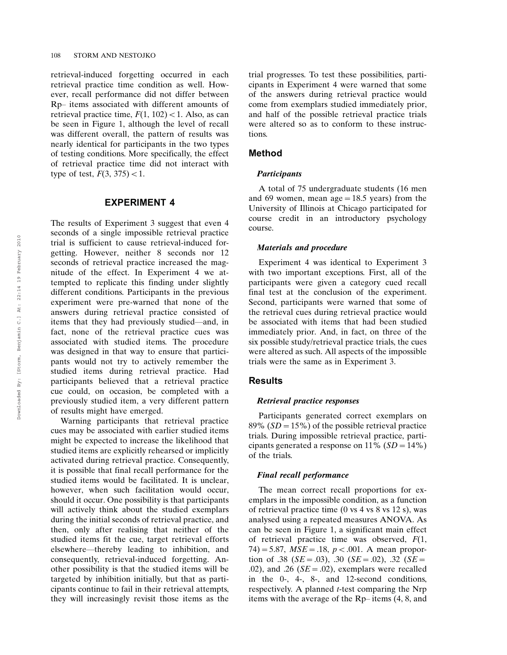retrieval-induced forgetting occurred in each retrieval practice time condition as well. However, recall performance did not differ between Rp- items associated with different amounts of retrieval practice time,  $F(1, 102) < 1$ . Also, as can be seen in Figure 1, although the level of recall was different overall, the pattern of results was nearly identical for participants in the two types of testing conditions. More specifically, the effect of retrieval practice time did not interact with type of test,  $F(3, 375) < 1$ .

## EXPERIMENT 4

The results of Experiment 3 suggest that even 4 seconds of a single impossible retrieval practice trial is sufficient to cause retrieval-induced forgetting. However, neither 8 seconds nor 12 seconds of retrieval practice increased the magnitude of the effect. In Experiment 4 we attempted to replicate this finding under slightly different conditions. Participants in the previous experiment were pre-warned that none of the answers during retrieval practice consisted of items that they had previously studied—and, in fact, none of the retrieval practice cues was associated with studied items. The procedure was designed in that way to ensure that participants would not try to actively remember the studied items during retrieval practice. Had participants believed that a retrieval practice cue could, on occasion, be completed with a previously studied item, a very different pattern of results might have emerged.

Warning participants that retrieval practice cues may be associated with earlier studied items might be expected to increase the likelihood that studied items are explicitly rehearsed or implicitly activated during retrieval practice. Consequently, it is possible that final recall performance for the studied items would be facilitated. It is unclear, however, when such facilitation would occur, should it occur. One possibility is that participants will actively think about the studied exemplars during the initial seconds of retrieval practice, and then, only after realising that neither of the studied items fit the cue, target retrieval efforts elsewhere—thereby leading to inhibition, and consequently, retrieval-induced forgetting. Another possibility is that the studied items will be targeted by inhibition initially, but that as participants continue to fail in their retrieval attempts, they will increasingly revisit those items as the

trial progresses. To test these possibilities, participants in Experiment 4 were warned that some of the answers during retrieval practice would come from exemplars studied immediately prior, and half of the possible retrieval practice trials were altered so as to conform to these instructions.

## Method

#### Participants

A total of 75 undergraduate students (16 men and 69 women, mean age  $=18.5$  years) from the University of Illinois at Chicago participated for course credit in an introductory psychology course.

#### Materials and procedure

Experiment 4 was identical to Experiment 3 with two important exceptions. First, all of the participants were given a category cued recall final test at the conclusion of the experiment. Second, participants were warned that some of the retrieval cues during retrieval practice would be associated with items that had been studied immediately prior. And, in fact, on three of the six possible study/retrieval practice trials, the cues were altered as such. All aspects of the impossible trials were the same as in Experiment 3.

## Results

#### Retrieval practice responses

Participants generated correct exemplars on 89% ( $SD = 15\%$ ) of the possible retrieval practice trials. During impossible retrieval practice, participants generated a response on  $11\%$  ( $SD = 14\%$ ) of the trials.

#### Final recall performance

The mean correct recall proportions for exemplars in the impossible condition, as a function of retrieval practice time (0 vs 4 vs 8 vs 12 s), was analysed using a repeated measures ANOVA. As can be seen in Figure 1, a significant main effect of retrieval practice time was observed,  $F(1,$ 74) = 5.87,  $MSE = .18$ ,  $p < .001$ . A mean proportion of .38 ( $SE = .03$ ), .30 ( $SE = .02$ ), .32 ( $SE =$ .02), and .26 ( $SE = .02$ ), exemplars were recalled in the 0-, 4-, 8-, and 12-second conditions, respectively. A planned t-test comparing the Nrp items with the average of the Rp- items (4, 8, and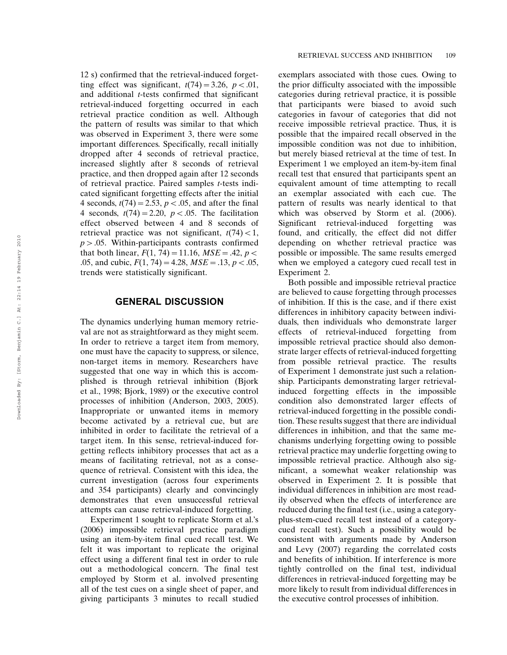12 s) confirmed that the retrieval-induced forgetting effect was significant,  $t(74) = 3.26$ ,  $p < .01$ , and additional t-tests confirmed that significant retrieval-induced forgetting occurred in each retrieval practice condition as well. Although the pattern of results was similar to that which was observed in Experiment 3, there were some important differences. Specifically, recall initially dropped after 4 seconds of retrieval practice, increased slightly after 8 seconds of retrieval practice, and then dropped again after 12 seconds of retrieval practice. Paired samples t-tests indicated significant forgetting effects after the initial 4 seconds,  $t(74) = 2.53$ ,  $p < .05$ , and after the final 4 seconds,  $t(74) = 2.20$ ,  $p < .05$ . The facilitation effect observed between 4 and 8 seconds of retrieval practice was not significant,  $t(74) < 1$ ,  $p > .05$ . Within-participants contrasts confirmed that both linear,  $F(1, 74) = 11.16$ ,  $MSE = .42$ ,  $p \le$ .05, and cubic,  $F(1, 74) = 4.28$ ,  $MSE = .13$ ,  $p < .05$ , trends were statistically significant.

# GENERAL DISCUSSION

The dynamics underlying human memory retrieval are not as straightforward as they might seem. In order to retrieve a target item from memory, one must have the capacity to suppress, or silence, non-target items in memory. Researchers have suggested that one way in which this is accomplished is through retrieval inhibition (Bjork et al., 1998; Bjork, 1989) or the executive control processes of inhibition (Anderson, 2003, 2005). Inappropriate or unwanted items in memory become activated by a retrieval cue, but are inhibited in order to facilitate the retrieval of a target item. In this sense, retrieval-induced forgetting reflects inhibitory processes that act as a means of facilitating retrieval, not as a consequence of retrieval. Consistent with this idea, the current investigation (across four experiments and 354 participants) clearly and convincingly demonstrates that even unsuccessful retrieval attempts can cause retrieval-induced forgetting.

Experiment 1 sought to replicate Storm et al.'s (2006) impossible retrieval practice paradigm using an item-by-item final cued recall test. We felt it was important to replicate the original effect using a different final test in order to rule out a methodological concern. The final test employed by Storm et al. involved presenting all of the test cues on a single sheet of paper, and giving participants 3 minutes to recall studied

exemplars associated with those cues. Owing to the prior difficulty associated with the impossible categories during retrieval practice, it is possible that participants were biased to avoid such categories in favour of categories that did not receive impossible retrieval practice. Thus, it is possible that the impaired recall observed in the impossible condition was not due to inhibition, but merely biased retrieval at the time of test. In Experiment 1 we employed an item-by-item final recall test that ensured that participants spent an equivalent amount of time attempting to recall an exemplar associated with each cue. The pattern of results was nearly identical to that which was observed by Storm et al. (2006). Significant retrieval-induced forgetting was found, and critically, the effect did not differ depending on whether retrieval practice was possible or impossible. The same results emerged when we employed a category cued recall test in Experiment 2.

Both possible and impossible retrieval practice are believed to cause forgetting through processes of inhibition. If this is the case, and if there exist differences in inhibitory capacity between individuals, then individuals who demonstrate larger effects of retrieval-induced forgetting from impossible retrieval practice should also demonstrate larger effects of retrieval-induced forgetting from possible retrieval practice. The results of Experiment 1 demonstrate just such a relationship. Participants demonstrating larger retrievalinduced forgetting effects in the impossible condition also demonstrated larger effects of retrieval-induced forgetting in the possible condition. These results suggest that there are individual differences in inhibition, and that the same mechanisms underlying forgetting owing to possible retrieval practice may underlie forgetting owing to impossible retrieval practice. Although also significant, a somewhat weaker relationship was observed in Experiment 2. It is possible that individual differences in inhibition are most readily observed when the effects of interference are reduced during the final test (i.e., using a categoryplus-stem-cued recall test instead of a categorycued recall test). Such a possibility would be consistent with arguments made by Anderson and Levy (2007) regarding the correlated costs and benefits of inhibition. If interference is more tightly controlled on the final test, individual differences in retrieval-induced forgetting may be more likely to result from individual differences in the executive control processes of inhibition.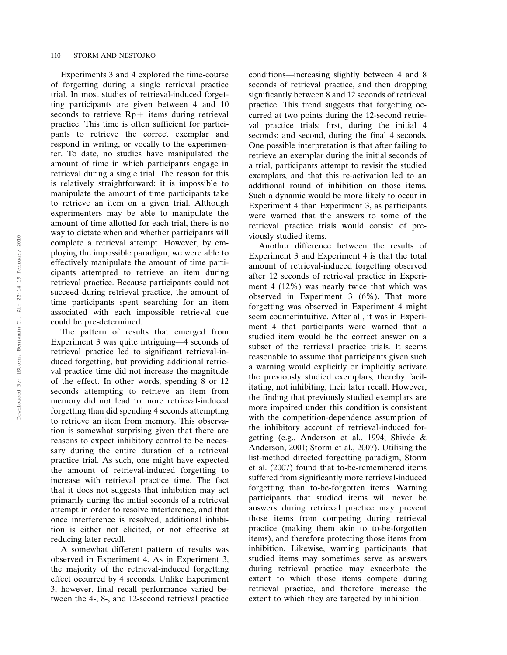Experiments 3 and 4 explored the time-course of forgetting during a single retrieval practice trial. In most studies of retrieval-induced forgetting participants are given between 4 and 10 seconds to retrieve  $Rp+$  items during retrieval practice. This time is often sufficient for participants to retrieve the correct exemplar and respond in writing, or vocally to the experimenter. To date, no studies have manipulated the amount of time in which participants engage in retrieval during a single trial. The reason for this is relatively straightforward: it is impossible to manipulate the amount of time participants take to retrieve an item on a given trial. Although experimenters may be able to manipulate the amount of time allotted for each trial, there is no way to dictate when and whether participants will complete a retrieval attempt. However, by employing the impossible paradigm, we were able to effectively manipulate the amount of time participants attempted to retrieve an item during retrieval practice. Because participants could not succeed during retrieval practice, the amount of time participants spent searching for an item associated with each impossible retrieval cue could be pre-determined.

The pattern of results that emerged from Experiment 3 was quite intriguing 4 seconds of retrieval practice led to significant retrieval-induced forgetting, but providing additional retrieval practice time did not increase the magnitude of the effect. In other words, spending 8 or 12 seconds attempting to retrieve an item from memory did not lead to more retrieval-induced forgetting than did spending 4 seconds attempting to retrieve an item from memory. This observation is somewhat surprising given that there are reasons to expect inhibitory control to be necessary during the entire duration of a retrieval practice trial. As such, one might have expected the amount of retrieval-induced forgetting to increase with retrieval practice time. The fact that it does not suggests that inhibition may act primarily during the initial seconds of a retrieval attempt in order to resolve interference, and that once interference is resolved, additional inhibition is either not elicited, or not effective at reducing later recall.

A somewhat different pattern of results was observed in Experiment 4. As in Experiment 3, the majority of the retrieval-induced forgetting effect occurred by 4 seconds. Unlike Experiment 3, however, final recall performance varied between the 4-, 8-, and 12-second retrieval practice conditions—increasing slightly between 4 and 8 seconds of retrieval practice, and then dropping significantly between 8 and 12 seconds of retrieval practice. This trend suggests that forgetting occurred at two points during the 12-second retrieval practice trials: first, during the initial 4 seconds; and second, during the final 4 seconds. One possible interpretation is that after failing to retrieve an exemplar during the initial seconds of a trial, participants attempt to revisit the studied exemplars, and that this re-activation led to an additional round of inhibition on those items. Such a dynamic would be more likely to occur in Experiment 4 than Experiment 3, as participants were warned that the answers to some of the retrieval practice trials would consist of previously studied items.

Another difference between the results of Experiment 3 and Experiment 4 is that the total amount of retrieval-induced forgetting observed after 12 seconds of retrieval practice in Experiment 4 (12%) was nearly twice that which was observed in Experiment 3 (6%). That more forgetting was observed in Experiment 4 might seem counterintuitive. After all, it was in Experiment 4 that participants were warned that a studied item would be the correct answer on a subset of the retrieval practice trials. It seems reasonable to assume that participants given such a warning would explicitly or implicitly activate the previously studied exemplars, thereby facilitating, not inhibiting, their later recall. However, the finding that previously studied exemplars are more impaired under this condition is consistent with the competition-dependence assumption of the inhibitory account of retrieval-induced forgetting (e.g., Anderson et al., 1994; Shivde & Anderson, 2001; Storm et al., 2007). Utilising the list-method directed forgetting paradigm, Storm et al. (2007) found that to-be-remembered items suffered from significantly more retrieval-induced forgetting than to-be-forgotten items. Warning participants that studied items will never be answers during retrieval practice may prevent those items from competing during retrieval practice (making them akin to to-be-forgotten items), and therefore protecting those items from inhibition. Likewise, warning participants that studied items may sometimes serve as answers during retrieval practice may exacerbate the extent to which those items compete during retrieval practice, and therefore increase the extent to which they are targeted by inhibition.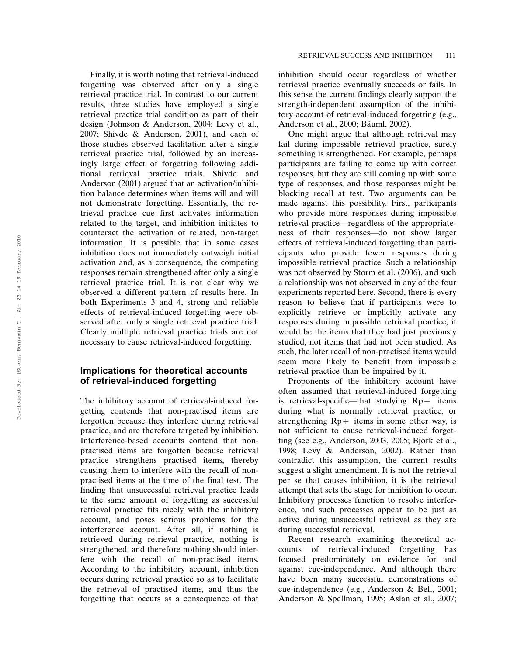Finally, it is worth noting that retrieval-induced forgetting was observed after only a single retrieval practice trial. In contrast to our current results, three studies have employed a single retrieval practice trial condition as part of their design (Johnson & Anderson, 2004; Levy et al., 2007; Shivde & Anderson, 2001), and each of those studies observed facilitation after a single retrieval practice trial, followed by an increasingly large effect of forgetting following additional retrieval practice trials. Shivde and Anderson (2001) argued that an activation/inhibition balance determines when items will and will not demonstrate forgetting. Essentially, the retrieval practice cue first activates information related to the target, and inhibition initiates to counteract the activation of related, non-target information. It is possible that in some cases inhibition does not immediately outweigh initial activation and, as a consequence, the competing responses remain strengthened after only a single retrieval practice trial. It is not clear why we observed a different pattern of results here. In both Experiments 3 and 4, strong and reliable effects of retrieval-induced forgetting were observed after only a single retrieval practice trial. Clearly multiple retrieval practice trials are not necessary to cause retrieval-induced forgetting.

# Implications for theoretical accounts of retrieval-induced forgetting

The inhibitory account of retrieval-induced forgetting contends that non-practised items are forgotten because they interfere during retrieval practice, and are therefore targeted by inhibition. Interference-based accounts contend that nonpractised items are forgotten because retrieval practice strengthens practised items, thereby causing them to interfere with the recall of nonpractised items at the time of the final test. The finding that unsuccessful retrieval practice leads to the same amount of forgetting as successful retrieval practice fits nicely with the inhibitory account, and poses serious problems for the interference account. After all, if nothing is retrieved during retrieval practice, nothing is strengthened, and therefore nothing should interfere with the recall of non-practised items. According to the inhibitory account, inhibition occurs during retrieval practice so as to facilitate the retrieval of practised items, and thus the forgetting that occurs as a consequence of that inhibition should occur regardless of whether retrieval practice eventually succeeds or fails. In this sense the current findings clearly support the strength-independent assumption of the inhibitory account of retrieval-induced forgetting (e.g., Anderson et al., 2000; Bäuml, 2002).

One might argue that although retrieval may fail during impossible retrieval practice, surely something is strengthened. For example, perhaps participants are failing to come up with correct responses, but they are still coming up with some type of responses, and those responses might be blocking recall at test. Two arguments can be made against this possibility. First, participants who provide more responses during impossible retrieval practice—regardless of the appropriateness of their responses—do not show larger effects of retrieval-induced forgetting than participants who provide fewer responses during impossible retrieval practice. Such a relationship was not observed by Storm et al. (2006), and such a relationship was not observed in any of the four experiments reported here. Second, there is every reason to believe that if participants were to explicitly retrieve or implicitly activate any responses during impossible retrieval practice, it would be the items that they had just previously studied, not items that had not been studied. As such, the later recall of non-practised items would seem more likely to benefit from impossible retrieval practice than be impaired by it.

Proponents of the inhibitory account have often assumed that retrieval-induced forgetting is retrieval-specific—that studying  $Rp +$  items during what is normally retrieval practice, or strengthening  $Rp +$  items in some other way, is not sufficient to cause retrieval-induced forgetting (see e.g., Anderson, 2003, 2005; Bjork et al., 1998; Levy & Anderson, 2002). Rather than contradict this assumption, the current results suggest a slight amendment. It is not the retrieval per se that causes inhibition, it is the retrieval attempt that sets the stage for inhibition to occur. Inhibitory processes function to resolve interference, and such processes appear to be just as active during unsuccessful retrieval as they are during successful retrieval.

Recent research examining theoretical accounts of retrieval-induced forgetting has focused predominately on evidence for and against cue-independence. And although there have been many successful demonstrations of cue-independence (e.g., Anderson & Bell, 2001; Anderson & Spellman, 1995; Aslan et al., 2007;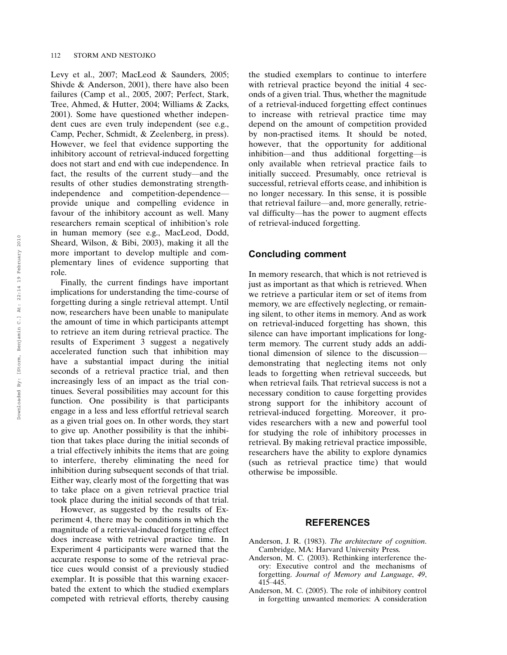Levy et al., 2007; MacLeod & Saunders, 2005; Shivde & Anderson, 2001), there have also been failures (Camp et al., 2005, 2007; Perfect, Stark, Tree, Ahmed, & Hutter, 2004; Williams & Zacks, 2001). Some have questioned whether independent cues are even truly independent (see e.g., Camp, Pecher, Schmidt, & Zeelenberg, in press). However, we feel that evidence supporting the inhibitory account of retrieval-induced forgetting does not start and end with cue independence. In fact, the results of the current study—and the results of other studies demonstrating strengthindependence and competition-dependence provide unique and compelling evidence in favour of the inhibitory account as well. Many researchers remain sceptical of inhibition's role in human memory (see e.g., MacLeod, Dodd, Sheard, Wilson, & Bibi, 2003), making it all the more important to develop multiple and complementary lines of evidence supporting that role.

Finally, the current findings have important implications for understanding the time-course of forgetting during a single retrieval attempt. Until now, researchers have been unable to manipulate the amount of time in which participants attempt to retrieve an item during retrieval practice. The results of Experiment 3 suggest a negatively accelerated function such that inhibition may have a substantial impact during the initial seconds of a retrieval practice trial, and then increasingly less of an impact as the trial continues. Several possibilities may account for this function. One possibility is that participants engage in a less and less effortful retrieval search as a given trial goes on. In other words, they start to give up. Another possibility is that the inhibition that takes place during the initial seconds of a trial effectively inhibits the items that are going to interfere, thereby eliminating the need for inhibition during subsequent seconds of that trial. Either way, clearly most of the forgetting that was to take place on a given retrieval practice trial took place during the initial seconds of that trial.

However, as suggested by the results of Experiment 4, there may be conditions in which the magnitude of a retrieval-induced forgetting effect does increase with retrieval practice time. In Experiment 4 participants were warned that the accurate response to some of the retrieval practice cues would consist of a previously studied exemplar. It is possible that this warning exacerbated the extent to which the studied exemplars competed with retrieval efforts, thereby causing the studied exemplars to continue to interfere with retrieval practice beyond the initial 4 seconds of a given trial. Thus, whether the magnitude of a retrieval-induced forgetting effect continues to increase with retrieval practice time may depend on the amount of competition provided by non-practised items. It should be noted, however, that the opportunity for additional inhibition—and thus additional forgetting—is only available when retrieval practice fails to initially succeed. Presumably, once retrieval is successful, retrieval efforts cease, and inhibition is no longer necessary. In this sense, it is possible that retrieval failure—and, more generally, retrieval difficulty—has the power to augment effects of retrieval-induced forgetting.

## Concluding comment

In memory research, that which is not retrieved is just as important as that which is retrieved. When we retrieve a particular item or set of items from memory, we are effectively neglecting, or remaining silent, to other items in memory. And as work on retrieval-induced forgetting has shown, this silence can have important implications for longterm memory. The current study adds an additional dimension of silence to the discussiondemonstrating that neglecting items not only leads to forgetting when retrieval succeeds, but when retrieval fails. That retrieval success is not a necessary condition to cause forgetting provides strong support for the inhibitory account of retrieval-induced forgetting. Moreover, it provides researchers with a new and powerful tool for studying the role of inhibitory processes in retrieval. By making retrieval practice impossible, researchers have the ability to explore dynamics (such as retrieval practice time) that would otherwise be impossible.

# REFERENCES

- Anderson, J. R. (1983). The architecture of cognition. Cambridge, MA: Harvard University Press.
- Anderson, M. C. (2003). Rethinking interference theory: Executive control and the mechanisms of forgetting. Journal of Memory and Language, 49, 415-445.
- Anderson, M. C. (2005). The role of inhibitory control in forgetting unwanted memories: A consideration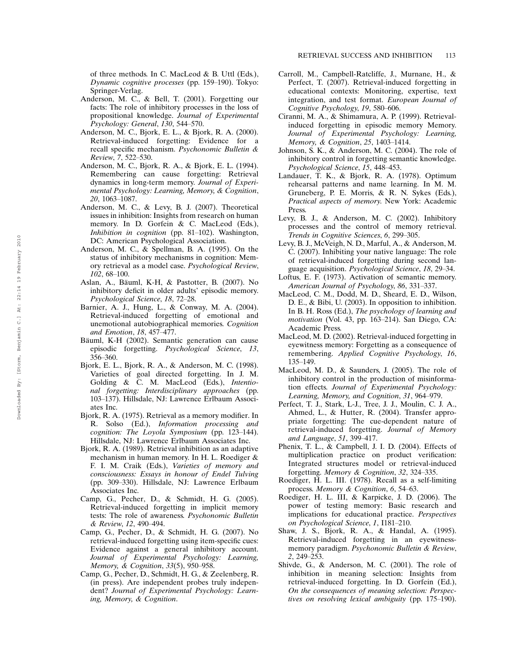of three methods. In C. MacLeod & B. Uttl (Eds.), Dynamic cognitive processes (pp. 159-190). Tokyo: Springer-Verlag.

- Anderson, M. C., & Bell, T. (2001). Forgetting our facts: The role of inhibitory processes in the loss of propositional knowledge. Journal of Experimental Psychology: General, 130, 544-570.
- Anderson, M. C., Bjork, E. L., & Bjork, R. A. (2000). Retrieval-induced forgetting: Evidence for a recall specific mechanism. Psychonomic Bulletin & Review, 7, 522-530.
- Anderson, M. C., Bjork, R. A., & Bjork, E. L. (1994). Remembering can cause forgetting: Retrieval dynamics in long-term memory. Journal of Experimental Psychology: Learning, Memory, & Cognition, 20, 1063-1087.
- Anderson, M. C., & Levy, B. J. (2007). Theoretical issues in inhibition: Insights from research on human memory. In D. Gorfein & C. MacLeod (Eds.), Inhibition in cognition (pp. 81-102). Washington, DC: American Psychological Association.
- Anderson, M. C., & Spellman, B. A. (1995). On the status of inhibitory mechanisms in cognition: Memory retrieval as a model case. Psychological Review, 102, 68-100.
- Aslan, A., Bäuml, K-H, & Pastotter, B. (2007). No inhibitory deficit in older adults' episodic memory. Psychological Science, 18, 72-28.
- Barnier, A. J., Hung, L., & Conway, M. A. (2004). Retrieval-induced forgetting of emotional and unemotional autobiographical memories. Cognition and Emotion, 18, 457-477.
- Bäuml, K-H (2002). Semantic generation can cause episodic forgetting. Psychological Science, 13, 356-360.
- Bjork, E. L., Bjork, R. A., & Anderson, M. C. (1998). Varieties of goal directed forgetting. In J. M. Golding & C. M. MacLeod (Eds.), Intentional forgetting: Interdisciplinary approaches (pp. 103-137). Hillsdale, NJ: Lawrence Erlbaum Associates Inc.
- Bjork, R. A. (1975). Retrieval as a memory modifier. In R. Solso (Ed.), Information processing and cognition: The Loyola Symposium (pp. 123-144). Hillsdale, NJ: Lawrence Erlbaum Associates Inc.
- Bjork, R. A. (1989). Retrieval inhibition as an adaptive mechanism in human memory. In H. L. Roediger & F. I. M. Craik (Eds.), Varieties of memory and consciousness: Essays in honour of Endel Tulving (pp. 309-330). Hillsdale, NJ: Lawrence Erlbaum Associates Inc.
- Camp, G., Pecher, D., & Schmidt, H. G. (2005). Retrieval-induced forgetting in implicit memory tests: The role of awareness. Psychonomic Bulletin & Review, 12, 490-494.
- Camp, G., Pecher, D., & Schmidt, H. G. (2007). No retrieval-induced forgetting using item-specific cues: Evidence against a general inhibitory account. Journal of Experimental Psychology: Learning, Memory, & Cognition, 33(5), 950-958.
- Camp, G., Pecher, D., Schmidt, H. G., & Zeelenberg, R. (in press). Are independent probes truly independent? Journal of Experimental Psychology: Learning, Memory, & Cognition.
- Carroll, M., Campbell-Ratcliffe, J., Murnane, H., & Perfect, T. (2007). Retrieval-induced forgetting in educational contexts: Monitoring, expertise, text integration, and test format. European Journal of Cognitive Psychology, 19, 580-606.
- Ciranni, M. A., & Shimamura, A. P. (1999). Retrievalinduced forgetting in episodic memory Memory. Journal of Experimental Psychology: Learning, Memory, & Cognition, 25, 1403-1414.
- Johnson, S. K., & Anderson, M. C. (2004). The role of inhibitory control in forgetting semantic knowledge. Psychological Science, 15, 448-453.
- Landauer, T. K., & Bjork, R. A. (1978). Optimum rehearsal patterns and name learning. In M. M. Gruneberg, P. E. Morris, & R. N. Sykes (Eds.), Practical aspects of memory. New York: Academic Press.
- Levy, B. J., & Anderson, M. C. (2002). Inhibitory processes and the control of memory retrieval. Trends in Cognitive Sciences, 6, 299-305.
- Levy, B. J., McVeigh, N. D., Marful, A., & Anderson, M. C. (2007). Inhibiting your native language: The role of retrieval-induced forgetting during second language acquisition. Psychological Science, 18, 29-34.
- Loftus, E. F. (1973). Activation of semantic memory. American Journal of Psychology, 86, 331-337.
- MacLeod, C. M., Dodd, M. D., Sheard, E. D., Wilson, D. E., & Bibi, U. (2003). In opposition to inhibition. In B. H. Ross (Ed.), The psychology of learning and motivation (Vol. 43, pp. 163-214). San Diego, CA: Academic Press.
- MacLeod, M. D. (2002). Retrieval-induced forgetting in eyewitness memory: Forgetting as a consequence of remembering. Applied Cognitive Psychology, 16, 135-149.
- MacLeod, M. D., & Saunders, J. (2005). The role of inhibitory control in the production of misinformation effects. Journal of Experimental Psychology: Learning, Memory, and Cognition, 31, 964-979.
- Perfect, T. J., Stark, L-J., Tree, J. J., Moulin, C. J. A., Ahmed, L., & Hutter, R. (2004). Transfer appropriate forgetting: The cue-dependent nature of retrieval-induced forgetting. Journal of Memory and Language, 51, 399-417.
- Phenix, T. L., & Campbell, J. I. D. (2004). Effects of multiplication practice on product verification: Integrated structures model or retrieval-induced forgetting. Memory & Cognition, 32, 324-335.
- Roediger, H. L. III. (1978). Recall as a self-limiting process. Memory & Cognition, 6, 54-63.
- Roediger, H. L. III, & Karpicke, J. D. (2006). The power of testing memory: Basic research and implications for educational practice. Perspectives on Psychological Science, 1, I181-210.
- Shaw, J. S., Bjork, R. A., & Handal, A. (1995). Retrieval-induced forgetting in an eyewitnessmemory paradigm. Psychonomic Bulletin & Review, 2, 249-253.
- Shivde, G., & Anderson, M. C. (2001). The role of inhibition in meaning selection: Insights from retrieval-induced forgetting. In D. Gorfein (Ed.), On the consequences of meaning selection: Perspectives on resolving lexical ambiguity (pp. 175-190).